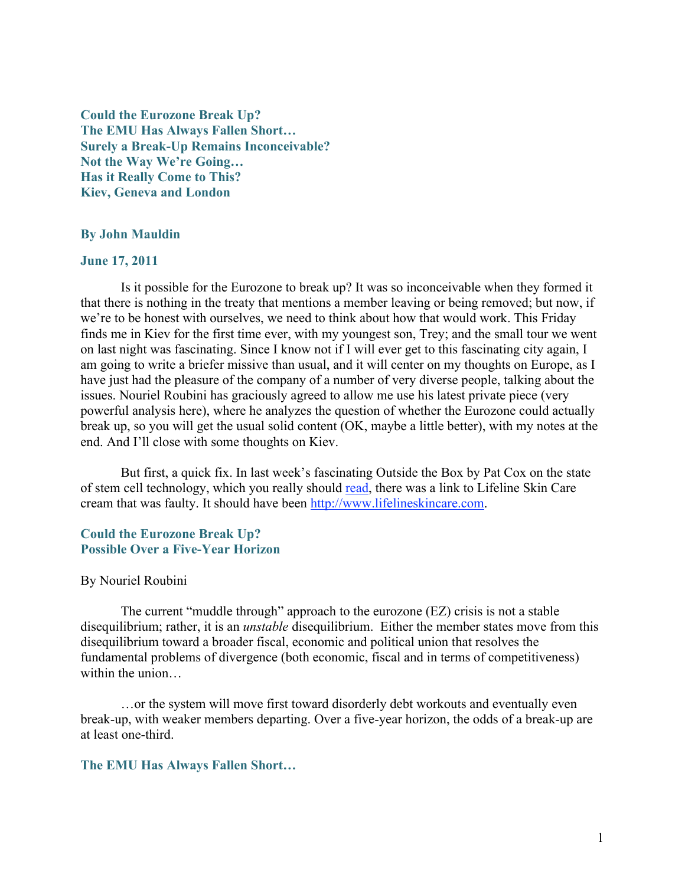Could the Eurozone Break Up? The EMU Has Always Fallen Short… Surely a Break-Up Remains Inconceivable? Not the Way We're Going… Has it Really Come to This? Kiev, Geneva and London

### By John Mauldin

## June 17, 2011

Is it possible for the Eurozone to break up? It was so inconceivable when they formed it that there is nothing in the treaty that mentions a member leaving or being removed; but now, if we're to be honest with ourselves, we need to think about how that would work. This Friday finds me in Kiev for the first time ever, with my youngest son, Trey; and the small tour we went on last night was fascinating. Since I know not if I will ever get to this fascinating city again, I am going to write a briefer missive than usual, and it will center on my thoughts on Europe, as I have just had the pleasure of the company of a number of very diverse people, talking about the issues. Nouriel Roubini has graciously agreed to allow me use his latest private piece (very powerful analysis here), where he analyzes the question of whether the Eurozone could actually break up, so you will get the usual solid content (OK, maybe a little better), with my notes at the end. And I'll close with some thoughts on Kiev.

But first, a quick fix. In last week's fascinating Outside the Box by Pat Cox on the state of stem cell technology, which you really should read, there was a link to Lifeline Skin Care cream that was faulty. It should have been http://www.lifelineskincare.com.

## Could the Eurozone Break Up? Possible Over a Five-Year Horizon

### By Nouriel Roubini

The current "muddle through" approach to the eurozone (EZ) crisis is not a stable disequilibrium; rather, it is an *unstable* disequilibrium. Either the member states move from this disequilibrium toward a broader fiscal, economic and political union that resolves the fundamental problems of divergence (both economic, fiscal and in terms of competitiveness) within the union

…or the system will move first toward disorderly debt workouts and eventually even break-up, with weaker members departing. Over a five-year horizon, the odds of a break-up are at least one-third.

## The EMU Has Always Fallen Short…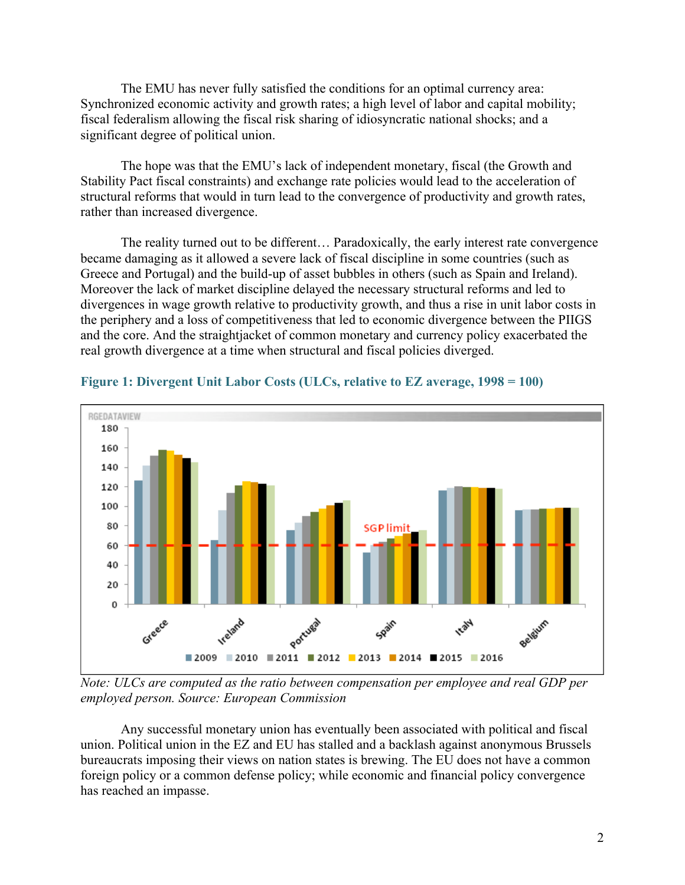The EMU has never fully satisfied the conditions for an optimal currency area: Synchronized economic activity and growth rates; a high level of labor and capital mobility; fiscal federalism allowing the fiscal risk sharing of idiosyncratic national shocks; and a significant degree of political union.

The hope was that the EMU's lack of independent monetary, fiscal (the Growth and Stability Pact fiscal constraints) and exchange rate policies would lead to the acceleration of structural reforms that would in turn lead to the convergence of productivity and growth rates, rather than increased divergence.

The reality turned out to be different… Paradoxically, the early interest rate convergence became damaging as it allowed a severe lack of fiscal discipline in some countries (such as Greece and Portugal) and the build-up of asset bubbles in others (such as Spain and Ireland). Moreover the lack of market discipline delayed the necessary structural reforms and led to divergences in wage growth relative to productivity growth, and thus a rise in unit labor costs in the periphery and a loss of competitiveness that led to economic divergence between the PIIGS and the core. And the straightjacket of common monetary and currency policy exacerbated the real growth divergence at a time when structural and fiscal policies diverged.



# Figure 1: Divergent Unit Labor Costs (ULCs, relative to EZ average, 1998 = 100)

*Note: ULCs are computed as the ratio between compensation per employee and real GDP per employed person. Source: European Commission*

Any successful monetary union has eventually been associated with political and fiscal union. Political union in the EZ and EU has stalled and a backlash against anonymous Brussels bureaucrats imposing their views on nation states is brewing. The EU does not have a common foreign policy or a common defense policy; while economic and financial policy convergence has reached an impasse.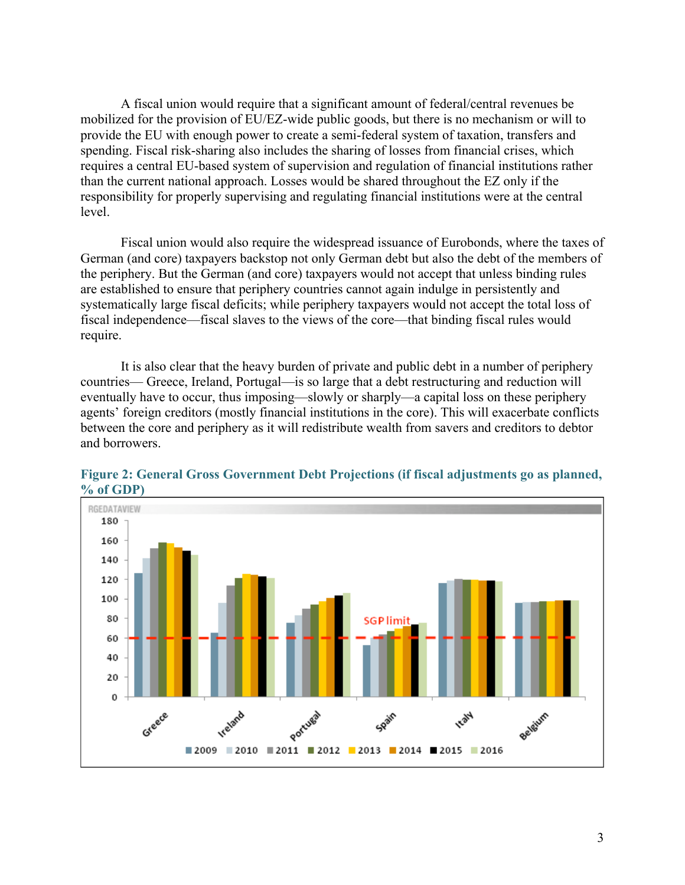A fiscal union would require that a significant amount of federal/central revenues be mobilized for the provision of EU/EZ-wide public goods, but there is no mechanism or will to provide the EU with enough power to create a semi-federal system of taxation, transfers and spending. Fiscal risk-sharing also includes the sharing of losses from financial crises, which requires a central EU-based system of supervision and regulation of financial institutions rather than the current national approach. Losses would be shared throughout the EZ only if the responsibility for properly supervising and regulating financial institutions were at the central level.

Fiscal union would also require the widespread issuance of Eurobonds, where the taxes of German (and core) taxpayers backstop not only German debt but also the debt of the members of the periphery. But the German (and core) taxpayers would not accept that unless binding rules are established to ensure that periphery countries cannot again indulge in persistently and systematically large fiscal deficits; while periphery taxpayers would not accept the total loss of fiscal independence—fiscal slaves to the views of the core—that binding fiscal rules would require.

It is also clear that the heavy burden of private and public debt in a number of periphery countries— Greece, Ireland, Portugal—is so large that a debt restructuring and reduction will eventually have to occur, thus imposing—slowly or sharply—a capital loss on these periphery agents' foreign creditors (mostly financial institutions in the core). This will exacerbate conflicts between the core and periphery as it will redistribute wealth from savers and creditors to debtor and borrowers.



Figure 2: General Gross Government Debt Projections (if fiscal adjustments go as planned, % of GDP)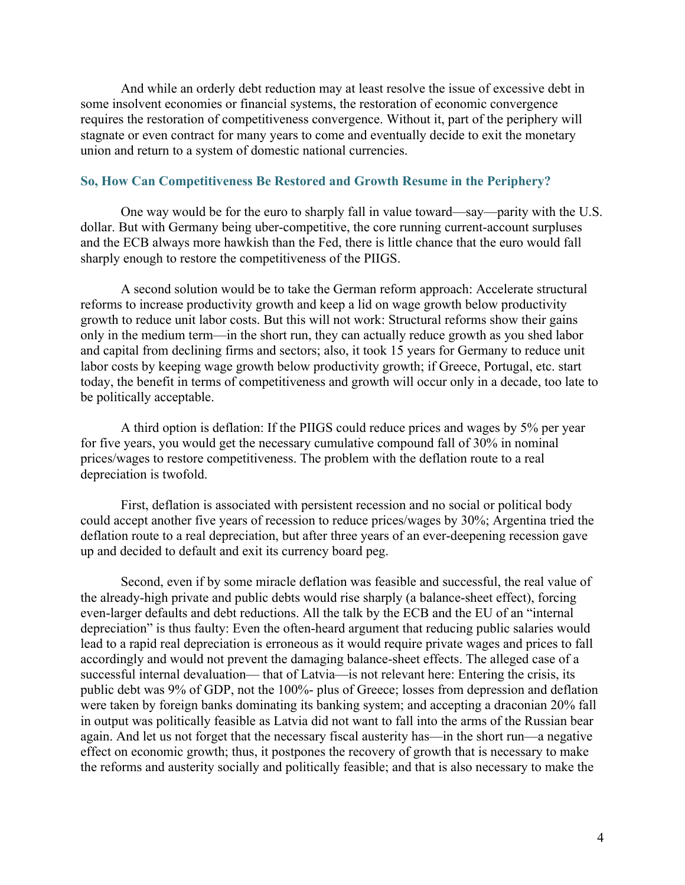And while an orderly debt reduction may at least resolve the issue of excessive debt in some insolvent economies or financial systems, the restoration of economic convergence requires the restoration of competitiveness convergence. Without it, part of the periphery will stagnate or even contract for many years to come and eventually decide to exit the monetary union and return to a system of domestic national currencies.

## So, How Can Competitiveness Be Restored and Growth Resume in the Periphery?

One way would be for the euro to sharply fall in value toward—say—parity with the U.S. dollar. But with Germany being uber-competitive, the core running current-account surpluses and the ECB always more hawkish than the Fed, there is little chance that the euro would fall sharply enough to restore the competitiveness of the PIIGS.

A second solution would be to take the German reform approach: Accelerate structural reforms to increase productivity growth and keep a lid on wage growth below productivity growth to reduce unit labor costs. But this will not work: Structural reforms show their gains only in the medium term—in the short run, they can actually reduce growth as you shed labor and capital from declining firms and sectors; also, it took 15 years for Germany to reduce unit labor costs by keeping wage growth below productivity growth; if Greece, Portugal, etc. start today, the benefit in terms of competitiveness and growth will occur only in a decade, too late to be politically acceptable.

A third option is deflation: If the PIIGS could reduce prices and wages by 5% per year for five years, you would get the necessary cumulative compound fall of 30% in nominal prices/wages to restore competitiveness. The problem with the deflation route to a real depreciation is twofold.

First, deflation is associated with persistent recession and no social or political body could accept another five years of recession to reduce prices/wages by 30%; Argentina tried the deflation route to a real depreciation, but after three years of an ever-deepening recession gave up and decided to default and exit its currency board peg.

Second, even if by some miracle deflation was feasible and successful, the real value of the already-high private and public debts would rise sharply (a balance-sheet effect), forcing even-larger defaults and debt reductions. All the talk by the ECB and the EU of an "internal depreciation" is thus faulty: Even the often-heard argument that reducing public salaries would lead to a rapid real depreciation is erroneous as it would require private wages and prices to fall accordingly and would not prevent the damaging balance-sheet effects. The alleged case of a successful internal devaluation— that of Latvia—is not relevant here: Entering the crisis, its public debt was 9% of GDP, not the 100%- plus of Greece; losses from depression and deflation were taken by foreign banks dominating its banking system; and accepting a draconian 20% fall in output was politically feasible as Latvia did not want to fall into the arms of the Russian bear again. And let us not forget that the necessary fiscal austerity has—in the short run—a negative effect on economic growth; thus, it postpones the recovery of growth that is necessary to make the reforms and austerity socially and politically feasible; and that is also necessary to make the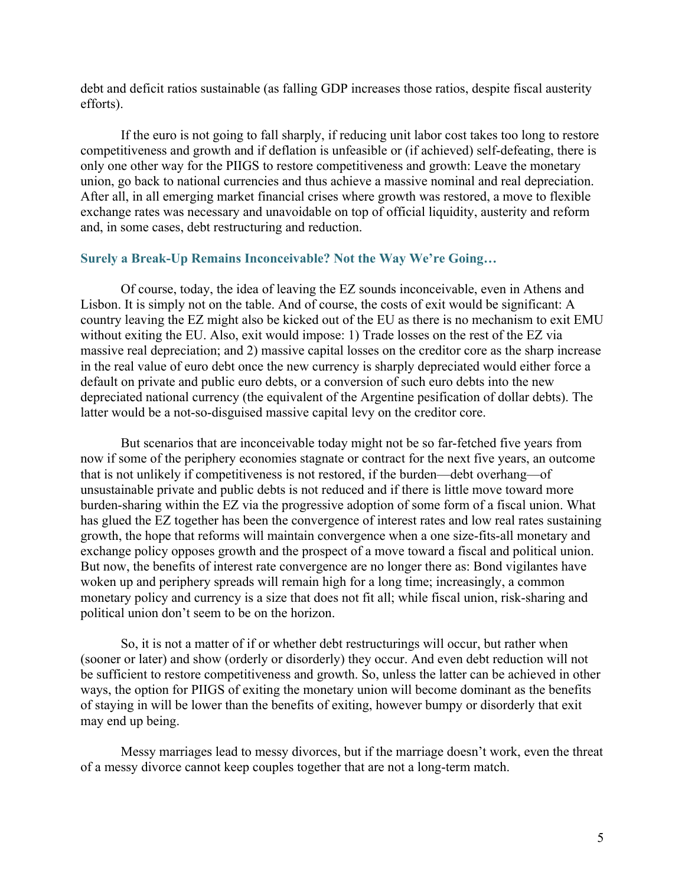debt and deficit ratios sustainable (as falling GDP increases those ratios, despite fiscal austerity efforts).

If the euro is not going to fall sharply, if reducing unit labor cost takes too long to restore competitiveness and growth and if deflation is unfeasible or (if achieved) self-defeating, there is only one other way for the PIIGS to restore competitiveness and growth: Leave the monetary union, go back to national currencies and thus achieve a massive nominal and real depreciation. After all, in all emerging market financial crises where growth was restored, a move to flexible exchange rates was necessary and unavoidable on top of official liquidity, austerity and reform and, in some cases, debt restructuring and reduction.

# Surely a Break-Up Remains Inconceivable? Not the Way We're Going…

Of course, today, the idea of leaving the EZ sounds inconceivable, even in Athens and Lisbon. It is simply not on the table. And of course, the costs of exit would be significant: A country leaving the EZ might also be kicked out of the EU as there is no mechanism to exit EMU without exiting the EU. Also, exit would impose: 1) Trade losses on the rest of the EZ via massive real depreciation; and 2) massive capital losses on the creditor core as the sharp increase in the real value of euro debt once the new currency is sharply depreciated would either force a default on private and public euro debts, or a conversion of such euro debts into the new depreciated national currency (the equivalent of the Argentine pesification of dollar debts). The latter would be a not-so-disguised massive capital levy on the creditor core.

But scenarios that are inconceivable today might not be so far-fetched five years from now if some of the periphery economies stagnate or contract for the next five years, an outcome that is not unlikely if competitiveness is not restored, if the burden—debt overhang—of unsustainable private and public debts is not reduced and if there is little move toward more burden-sharing within the EZ via the progressive adoption of some form of a fiscal union. What has glued the EZ together has been the convergence of interest rates and low real rates sustaining growth, the hope that reforms will maintain convergence when a one size-fits-all monetary and exchange policy opposes growth and the prospect of a move toward a fiscal and political union. But now, the benefits of interest rate convergence are no longer there as: Bond vigilantes have woken up and periphery spreads will remain high for a long time; increasingly, a common monetary policy and currency is a size that does not fit all; while fiscal union, risk-sharing and political union don't seem to be on the horizon.

So, it is not a matter of if or whether debt restructurings will occur, but rather when (sooner or later) and show (orderly or disorderly) they occur. And even debt reduction will not be sufficient to restore competitiveness and growth. So, unless the latter can be achieved in other ways, the option for PIIGS of exiting the monetary union will become dominant as the benefits of staying in will be lower than the benefits of exiting, however bumpy or disorderly that exit may end up being.

Messy marriages lead to messy divorces, but if the marriage doesn't work, even the threat of a messy divorce cannot keep couples together that are not a long-term match.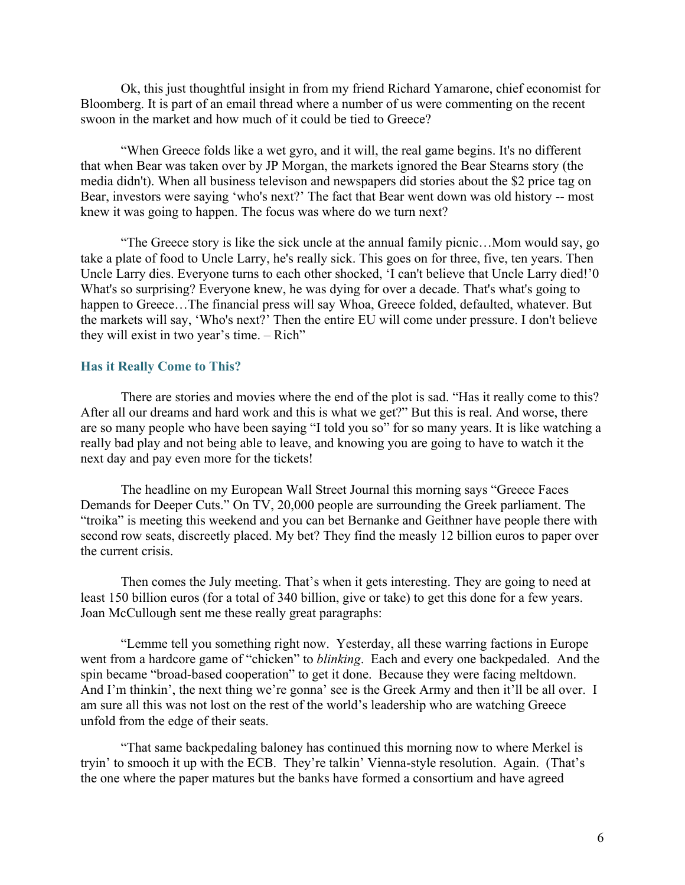Ok, this just thoughtful insight in from my friend Richard Yamarone, chief economist for Bloomberg. It is part of an email thread where a number of us were commenting on the recent swoon in the market and how much of it could be tied to Greece?

"When Greece folds like a wet gyro, and it will, the real game begins. It's no different that when Bear was taken over by JP Morgan, the markets ignored the Bear Stearns story (the media didn't). When all business televison and newspapers did stories about the \$2 price tag on Bear, investors were saying 'who's next?' The fact that Bear went down was old history -- most knew it was going to happen. The focus was where do we turn next?

"The Greece story is like the sick uncle at the annual family picnic…Mom would say, go take a plate of food to Uncle Larry, he's really sick. This goes on for three, five, ten years. Then Uncle Larry dies. Everyone turns to each other shocked, 'I can't believe that Uncle Larry died!'0 What's so surprising? Everyone knew, he was dying for over a decade. That's what's going to happen to Greece...The financial press will say Whoa, Greece folded, defaulted, whatever. But the markets will say, 'Who's next?' Then the entire EU will come under pressure. I don't believe they will exist in two year's time. – Rich"

## Has it Really Come to This?

There are stories and movies where the end of the plot is sad. "Has it really come to this? After all our dreams and hard work and this is what we get?" But this is real. And worse, there are so many people who have been saying "I told you so" for so many years. It is like watching a really bad play and not being able to leave, and knowing you are going to have to watch it the next day and pay even more for the tickets!

The headline on my European Wall Street Journal this morning says "Greece Faces Demands for Deeper Cuts." On TV, 20,000 people are surrounding the Greek parliament. The "troika" is meeting this weekend and you can bet Bernanke and Geithner have people there with second row seats, discreetly placed. My bet? They find the measly 12 billion euros to paper over the current crisis.

Then comes the July meeting. That's when it gets interesting. They are going to need at least 150 billion euros (for a total of 340 billion, give or take) to get this done for a few years. Joan McCullough sent me these really great paragraphs:

"Lemme tell you something right now. Yesterday, all these warring factions in Europe went from a hardcore game of "chicken" to *blinking*. Each and every one backpedaled. And the spin became "broad-based cooperation" to get it done. Because they were facing meltdown. And I'm thinkin', the next thing we're gonna' see is the Greek Army and then it'll be all over. I am sure all this was not lost on the rest of the world's leadership who are watching Greece unfold from the edge of their seats.

"That same backpedaling baloney has continued this morning now to where Merkel is tryin' to smooch it up with the ECB. They're talkin' Vienna-style resolution. Again. (That's the one where the paper matures but the banks have formed a consortium and have agreed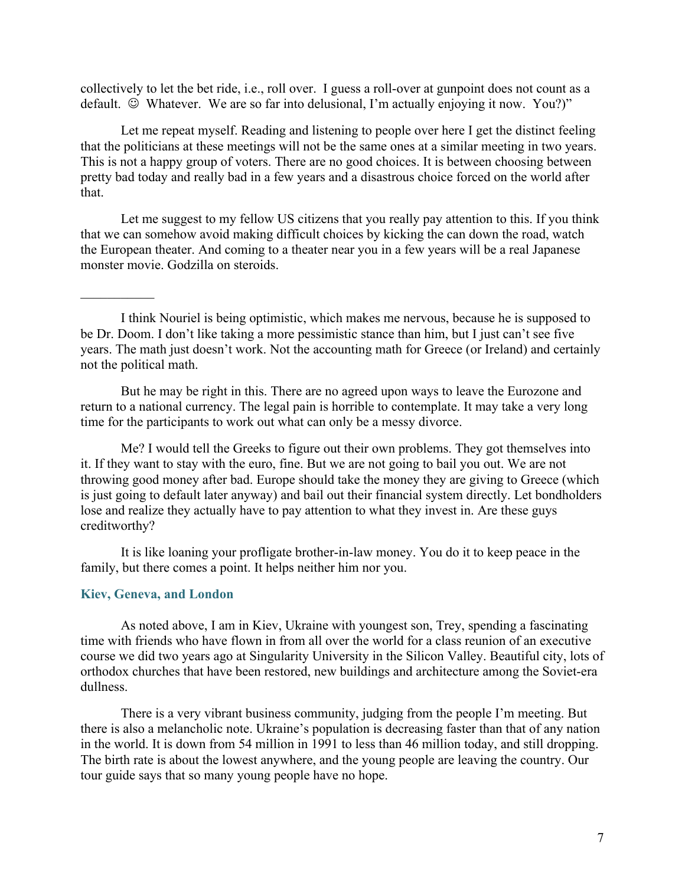collectively to let the bet ride, i.e., roll over. I guess a roll-over at gunpoint does not count as a default.  $\odot$  Whatever. We are so far into delusional, I'm actually enjoying it now. You?)"

Let me repeat myself. Reading and listening to people over here I get the distinct feeling that the politicians at these meetings will not be the same ones at a similar meeting in two years. This is not a happy group of voters. There are no good choices. It is between choosing between pretty bad today and really bad in a few years and a disastrous choice forced on the world after that.

Let me suggest to my fellow US citizens that you really pay attention to this. If you think that we can somehow avoid making difficult choices by kicking the can down the road, watch the European theater. And coming to a theater near you in a few years will be a real Japanese monster movie. Godzilla on steroids.

But he may be right in this. There are no agreed upon ways to leave the Eurozone and return to a national currency. The legal pain is horrible to contemplate. It may take a very long time for the participants to work out what can only be a messy divorce.

Me? I would tell the Greeks to figure out their own problems. They got themselves into it. If they want to stay with the euro, fine. But we are not going to bail you out. We are not throwing good money after bad. Europe should take the money they are giving to Greece (which is just going to default later anyway) and bail out their financial system directly. Let bondholders lose and realize they actually have to pay attention to what they invest in. Are these guys creditworthy?

It is like loaning your profligate brother-in-law money. You do it to keep peace in the family, but there comes a point. It helps neither him nor you.

### Kiev, Geneva, and London

 $\mathcal{L}_\text{max}$ 

As noted above, I am in Kiev, Ukraine with youngest son, Trey, spending a fascinating time with friends who have flown in from all over the world for a class reunion of an executive course we did two years ago at Singularity University in the Silicon Valley. Beautiful city, lots of orthodox churches that have been restored, new buildings and architecture among the Soviet-era dullness.

There is a very vibrant business community, judging from the people I'm meeting. But there is also a melancholic note. Ukraine's population is decreasing faster than that of any nation in the world. It is down from 54 million in 1991 to less than 46 million today, and still dropping. The birth rate is about the lowest anywhere, and the young people are leaving the country. Our tour guide says that so many young people have no hope.

I think Nouriel is being optimistic, which makes me nervous, because he is supposed to be Dr. Doom. I don't like taking a more pessimistic stance than him, but I just can't see five years. The math just doesn't work. Not the accounting math for Greece (or Ireland) and certainly not the political math.